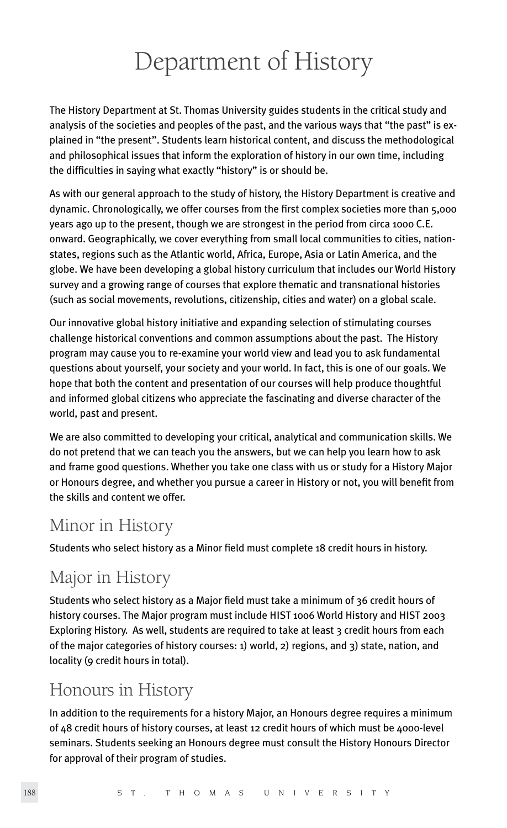# Department of History

The History Department at St. Thomas University guides students in the critical study and analysis of the societies and peoples of the past, and the various ways that "the past" is explained in "the present". Students learn historical content, and discuss the methodological and philosophical issues that inform the exploration of history in our own time, including the difficulties in saying what exactly "history" is or should be.

As with our general approach to the study of history, the History Department is creative and dynamic. Chronologically, we offer courses from the first complex societies more than 5,000 years ago up to the present, though we are strongest in the period from circa 1000 C.E. onward. Geographically, we cover everything from small local communities to cities, nationstates, regions such as the Atlantic world, Africa, Europe, Asia or Latin America, and the globe. We have been developing a global history curriculum that includes our World History survey and a growing range of courses that explore thematic and transnational histories (such as social movements, revolutions, citizenship, cities and water) on a global scale.

Our innovative global history initiative and expanding selection of stimulating courses challenge historical conventions and common assumptions about the past. The History program may cause you to re-examine your world view and lead you to ask fundamental questions about yourself, your society and your world. In fact, this is one of our goals. We hope that both the content and presentation of our courses will help produce thoughtful and informed global citizens who appreciate the fascinating and diverse character of the world, past and present.

We are also committed to developing your critical, analytical and communication skills. We do not pretend that we can teach you the answers, but we can help you learn how to ask and frame good questions. Whether you take one class with us or study for a History Major or Honours degree, and whether you pursue a career in History or not, you will benefit from the skills and content we offer.

## Minor in History

Students who select history as a Minor field must complete 18 credit hours in history.

# Major in History

Students who select history as a Major field must take a minimum of 36 credit hours of history courses. The Major program must include HIST 1006 World History and HIST 2003 Exploring History. As well, students are required to take at least 3 credit hours from each of the major categories of history courses: 1) world, 2) regions, and 3) state, nation, and locality (9 credit hours in total).

# Honours in History

In addition to the requirements for a history Major, an Honours degree requires a minimum of 48 credit hours of history courses, at least 12 credit hours of which must be 4000-level seminars. Students seeking an Honours degree must consult the History Honours Director for approval of their program of studies.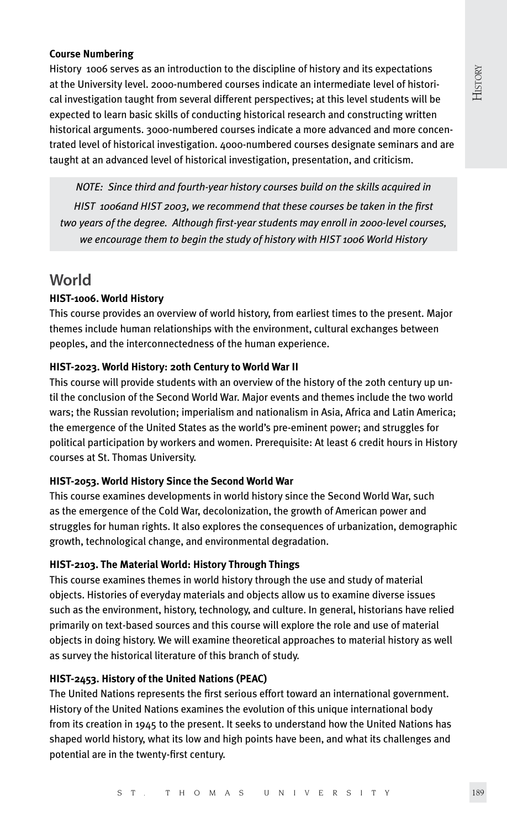#### **Course Numbering**

History 1006 serves as an introduction to the discipline of history and its expectations at the University level. 2000-numbered courses indicate an intermediate level of historical investigation taught from several different perspectives; at this level students will be expected to learn basic skills of conducting historical research and constructing written historical arguments. 3000-numbered courses indicate a more advanced and more concentrated level of historical investigation. 4000-numbered courses designate seminars and are taught at an advanced level of historical investigation, presentation, and criticism.

*NOTE: Since third and fourth-year history courses build on the skills acquired in HIST 1006and HIST 2003, we recommend that these courses be taken in the first two years of the degree. Although first-year students may enroll in 2000-level courses, we encourage them to begin the study of history with HIST 1006 World History*

### **World**

#### **HIST-1006. World History**

This course provides an overview of world history, from earliest times to the present. Major themes include human relationships with the environment, cultural exchanges between peoples, and the interconnectedness of the human experience.

#### **HIST-2023. World History: 20th Century to World War II**

This course will provide students with an overview of the history of the 20th century up until the conclusion of the Second World War. Major events and themes include the two world wars; the Russian revolution; imperialism and nationalism in Asia, Africa and Latin America; the emergence of the United States as the world's pre-eminent power; and struggles for political participation by workers and women. Prerequisite: At least 6 credit hours in History courses at St. Thomas University.

#### **HIST-2053. World History Since the Second World War**

This course examines developments in world history since the Second World War, such as the emergence of the Cold War, decolonization, the growth of American power and struggles for human rights. It also explores the consequences of urbanization, demographic growth, technological change, and environmental degradation.

#### **HIST-2103. The Material World: History Through Things**

This course examines themes in world history through the use and study of material objects. Histories of everyday materials and objects allow us to examine diverse issues such as the environment, history, technology, and culture. In general, historians have relied primarily on text-based sources and this course will explore the role and use of material objects in doing history. We will examine theoretical approaches to material history as well as survey the historical literature of this branch of study.

#### **HIST-2453. History of the United Nations (PEAC)**

The United Nations represents the first serious effort toward an international government. History of the United Nations examines the evolution of this unique international body from its creation in 1945 to the present. It seeks to understand how the United Nations has shaped world history, what its low and high points have been, and what its challenges and potential are in the twenty-first century.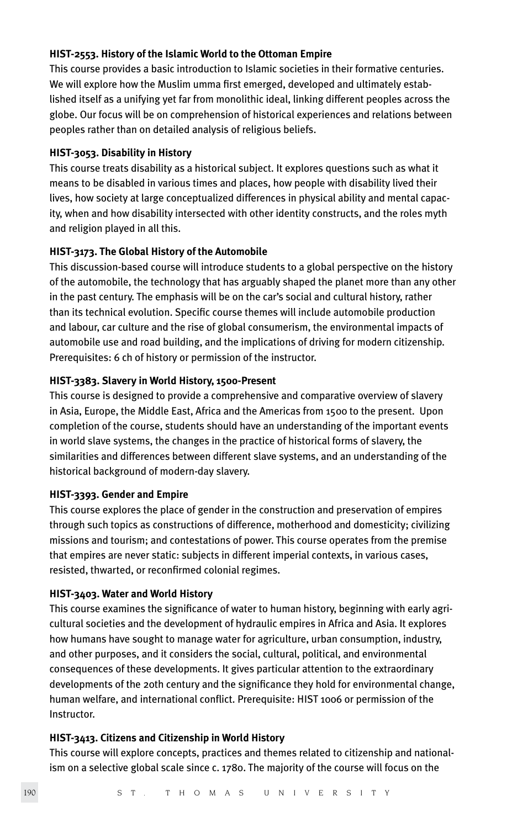#### **HIST-2553. History of the Islamic World to the Ottoman Empire**

This course provides a basic introduction to Islamic societies in their formative centuries. We will explore how the Muslim umma first emerged, developed and ultimately established itself as a unifying yet far from monolithic ideal, linking different peoples across the globe. Our focus will be on comprehension of historical experiences and relations between peoples rather than on detailed analysis of religious beliefs.

#### **HIST-3053. Disability in History**

This course treats disability as a historical subject. It explores questions such as what it means to be disabled in various times and places, how people with disability lived their lives, how society at large conceptualized differences in physical ability and mental capacity, when and how disability intersected with other identity constructs, and the roles myth and religion played in all this.

#### **HIST-3173. The Global History of the Automobile**

This discussion-based course will introduce students to a global perspective on the history of the automobile, the technology that has arguably shaped the planet more than any other in the past century. The emphasis will be on the car's social and cultural history, rather than its technical evolution. Specific course themes will include automobile production and labour, car culture and the rise of global consumerism, the environmental impacts of automobile use and road building, and the implications of driving for modern citizenship. Prerequisites: 6 ch of history or permission of the instructor.

#### **HIST-3383. Slavery in World History, 1500-Present**

This course is designed to provide a comprehensive and comparative overview of slavery in Asia, Europe, the Middle East, Africa and the Americas from 1500 to the present. Upon completion of the course, students should have an understanding of the important events in world slave systems, the changes in the practice of historical forms of slavery, the similarities and differences between different slave systems, and an understanding of the historical background of modern-day slavery.

#### **HIST-3393. Gender and Empire**

This course explores the place of gender in the construction and preservation of empires through such topics as constructions of difference, motherhood and domesticity; civilizing missions and tourism; and contestations of power. This course operates from the premise that empires are never static: subjects in different imperial contexts, in various cases, resisted, thwarted, or reconfirmed colonial regimes.

#### **HIST-3403. Water and World History**

This course examines the significance of water to human history, beginning with early agricultural societies and the development of hydraulic empires in Africa and Asia. It explores how humans have sought to manage water for agriculture, urban consumption, industry, and other purposes, and it considers the social, cultural, political, and environmental consequences of these developments. It gives particular attention to the extraordinary developments of the 20th century and the significance they hold for environmental change, human welfare, and international conflict. Prerequisite: HIST 1006 or permission of the Instructor.

#### **HIST-3413. Citizens and Citizenship in World History**

This course will explore concepts, practices and themes related to citizenship and nationalism on a selective global scale since c. 1780. The majority of the course will focus on the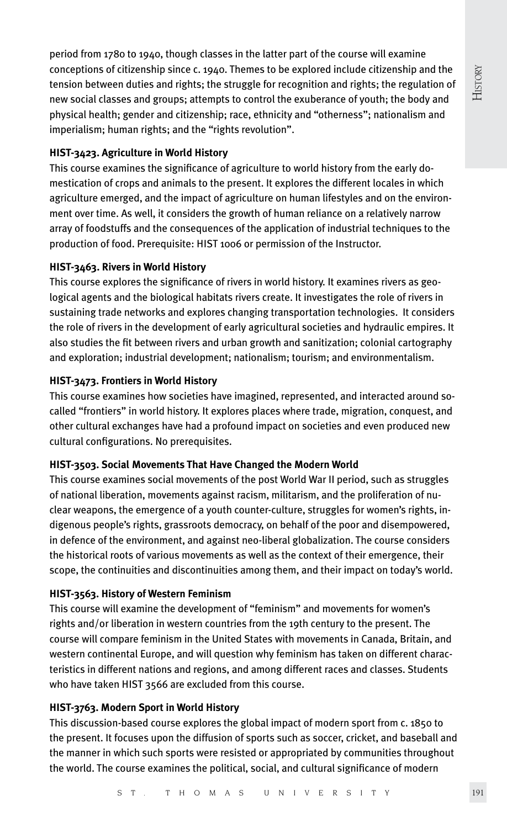History

period from 1780 to 1940, though classes in the latter part of the course will examine conceptions of citizenship since c. 1940. Themes to be explored include citizenship and the tension between duties and rights; the struggle for recognition and rights; the regulation of new social classes and groups; attempts to control the exuberance of youth; the body and physical health; gender and citizenship; race, ethnicity and "otherness"; nationalism and imperialism; human rights; and the "rights revolution".

#### **HIST-3423. Agriculture in World History**

This course examines the significance of agriculture to world history from the early domestication of crops and animals to the present. It explores the different locales in which agriculture emerged, and the impact of agriculture on human lifestyles and on the environment over time. As well, it considers the growth of human reliance on a relatively narrow array of foodstuffs and the consequences of the application of industrial techniques to the production of food. Prerequisite: HIST 1006 or permission of the Instructor.

#### **HIST-3463. Rivers in World History**

This course explores the significance of rivers in world history. It examines rivers as geological agents and the biological habitats rivers create. It investigates the role of rivers in sustaining trade networks and explores changing transportation technologies. It considers the role of rivers in the development of early agricultural societies and hydraulic empires. It also studies the fit between rivers and urban growth and sanitization; colonial cartography and exploration; industrial development; nationalism; tourism; and environmentalism.

#### **HIST-3473. Frontiers in World History**

This course examines how societies have imagined, represented, and interacted around socalled "frontiers" in world history. It explores places where trade, migration, conquest, and other cultural exchanges have had a profound impact on societies and even produced new cultural configurations. No prerequisites.

#### **HIST-3503. Social Movements That Have Changed the Modern World**

This course examines social movements of the post World War II period, such as struggles of national liberation, movements against racism, militarism, and the proliferation of nuclear weapons, the emergence of a youth counter-culture, struggles for women's rights, indigenous people's rights, grassroots democracy, on behalf of the poor and disempowered, in defence of the environment, and against neo-liberal globalization. The course considers the historical roots of various movements as well as the context of their emergence, their scope, the continuities and discontinuities among them, and their impact on today's world.

#### **HIST-3563. History of Western Feminism**

This course will examine the development of "feminism" and movements for women's rights and/or liberation in western countries from the 19th century to the present. The course will compare feminism in the United States with movements in Canada, Britain, and western continental Europe, and will question why feminism has taken on different characteristics in different nations and regions, and among different races and classes. Students who have taken HIST 3566 are excluded from this course.

#### **HIST-3763. Modern Sport in World History**

This discussion-based course explores the global impact of modern sport from c. 1850 to the present. It focuses upon the diffusion of sports such as soccer, cricket, and baseball and the manner in which such sports were resisted or appropriated by communities throughout the world. The course examines the political, social, and cultural significance of modern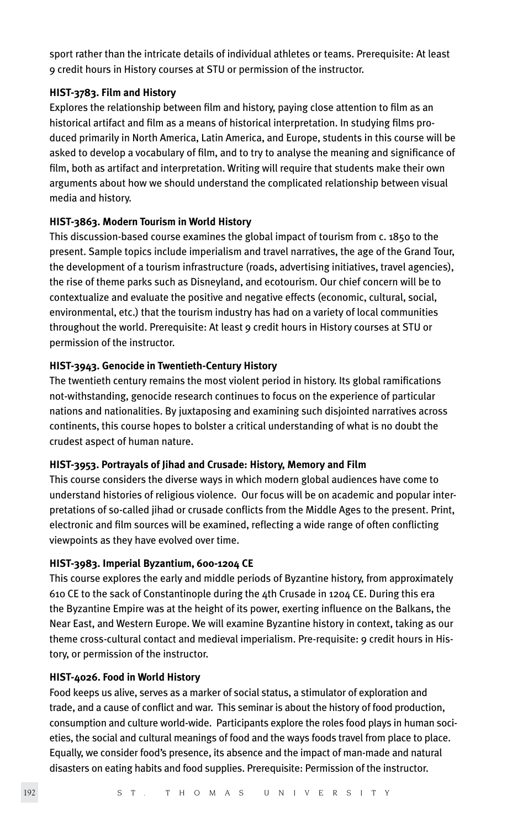sport rather than the intricate details of individual athletes or teams. Prerequisite: At least 9 credit hours in History courses at STU or permission of the instructor.

#### **HIST-3783. Film and History**

Explores the relationship between film and history, paying close attention to film as an historical artifact and film as a means of historical interpretation. In studying films produced primarily in North America, Latin America, and Europe, students in this course will be asked to develop a vocabulary of film, and to try to analyse the meaning and significance of film, both as artifact and interpretation. Writing will require that students make their own arguments about how we should understand the complicated relationship between visual media and history.

#### **HIST-3863. Modern Tourism in World History**

This discussion-based course examines the global impact of tourism from c. 1850 to the present. Sample topics include imperialism and travel narratives, the age of the Grand Tour, the development of a tourism infrastructure (roads, advertising initiatives, travel agencies), the rise of theme parks such as Disneyland, and ecotourism. Our chief concern will be to contextualize and evaluate the positive and negative effects (economic, cultural, social, environmental, etc.) that the tourism industry has had on a variety of local communities throughout the world. Prerequisite: At least 9 credit hours in History courses at STU or permission of the instructor.

#### **HIST-3943. Genocide in Twentieth-Century History**

The twentieth century remains the most violent period in history. Its global ramifications not-withstanding, genocide research continues to focus on the experience of particular nations and nationalities. By juxtaposing and examining such disjointed narratives across continents, this course hopes to bolster a critical understanding of what is no doubt the crudest aspect of human nature.

#### **HIST-3953. Portrayals of Jihad and Crusade: History, Memory and Film**

This course considers the diverse ways in which modern global audiences have come to understand histories of religious violence. Our focus will be on academic and popular interpretations of so-called jihad or crusade conflicts from the Middle Ages to the present. Print, electronic and film sources will be examined, reflecting a wide range of often conflicting viewpoints as they have evolved over time.

#### **HIST-3983. Imperial Byzantium, 600-1204 CE**

This course explores the early and middle periods of Byzantine history, from approximately 610 CE to the sack of Constantinople during the 4th Crusade in 1204 CE. During this era the Byzantine Empire was at the height of its power, exerting influence on the Balkans, the Near East, and Western Europe. We will examine Byzantine history in context, taking as our theme cross-cultural contact and medieval imperialism. Pre-requisite: 9 credit hours in History, or permission of the instructor.

#### **HIST-4026. Food in World History**

Food keeps us alive, serves as a marker of social status, a stimulator of exploration and trade, and a cause of conflict and war. This seminar is about the history of food production, consumption and culture world-wide. Participants explore the roles food plays in human societies, the social and cultural meanings of food and the ways foods travel from place to place. Equally, we consider food's presence, its absence and the impact of man-made and natural disasters on eating habits and food supplies. Prerequisite: Permission of the instructor.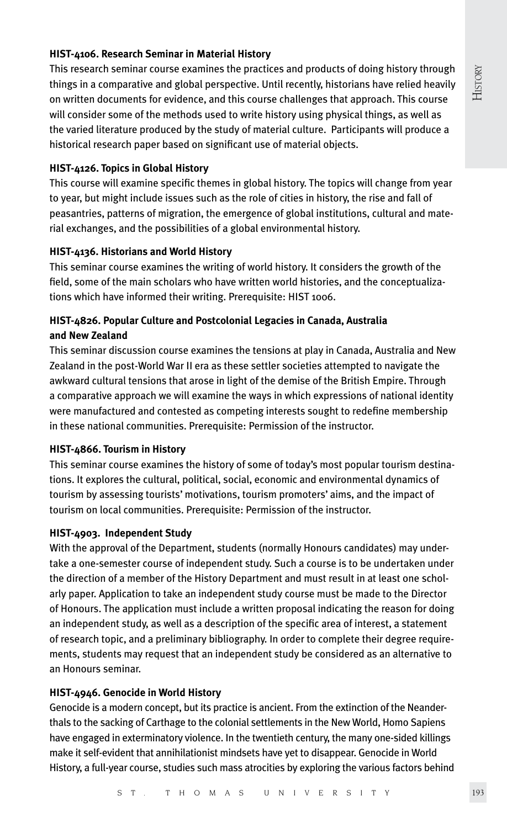#### **HIST-4106. Research Seminar in Material History**

This research seminar course examines the practices and products of doing history through things in a comparative and global perspective. Until recently, historians have relied heavily on written documents for evidence, and this course challenges that approach. This course will consider some of the methods used to write history using physical things, as well as the varied literature produced by the study of material culture. Participants will produce a historical research paper based on significant use of material objects.

#### **HIST-4126. Topics in Global History**

This course will examine specific themes in global history. The topics will change from year to year, but might include issues such as the role of cities in history, the rise and fall of peasantries, patterns of migration, the emergence of global institutions, cultural and material exchanges, and the possibilities of a global environmental history.

#### **HIST-4136. Historians and World History**

This seminar course examines the writing of world history. It considers the growth of the field, some of the main scholars who have written world histories, and the conceptualizations which have informed their writing. Prerequisite: HIST 1006.

#### **HIST-4826. Popular Culture and Postcolonial Legacies in Canada, Australia and New Zealand**

This seminar discussion course examines the tensions at play in Canada, Australia and New Zealand in the post-World War II era as these settler societies attempted to navigate the awkward cultural tensions that arose in light of the demise of the British Empire. Through a comparative approach we will examine the ways in which expressions of national identity were manufactured and contested as competing interests sought to redefine membership in these national communities. Prerequisite: Permission of the instructor.

#### **HIST-4866. Tourism in History**

This seminar course examines the history of some of today's most popular tourism destinations. It explores the cultural, political, social, economic and environmental dynamics of tourism by assessing tourists' motivations, tourism promoters' aims, and the impact of tourism on local communities. Prerequisite: Permission of the instructor.

#### **HIST-4903. Independent Study**

With the approval of the Department, students (normally Honours candidates) may undertake a one-semester course of independent study. Such a course is to be undertaken under the direction of a member of the History Department and must result in at least one scholarly paper. Application to take an independent study course must be made to the Director of Honours. The application must include a written proposal indicating the reason for doing an independent study, as well as a description of the specific area of interest, a statement of research topic, and a preliminary bibliography. In order to complete their degree requirements, students may request that an independent study be considered as an alternative to an Honours seminar.

#### **HIST-4946. Genocide in World History**

Genocide is a modern concept, but its practice is ancient. From the extinction of the Neanderthals to the sacking of Carthage to the colonial settlements in the New World, Homo Sapiens have engaged in exterminatory violence. In the twentieth century, the many one-sided killings make it self-evident that annihilationist mindsets have yet to disappear. Genocide in World History, a full-year course, studies such mass atrocities by exploring the various factors behind History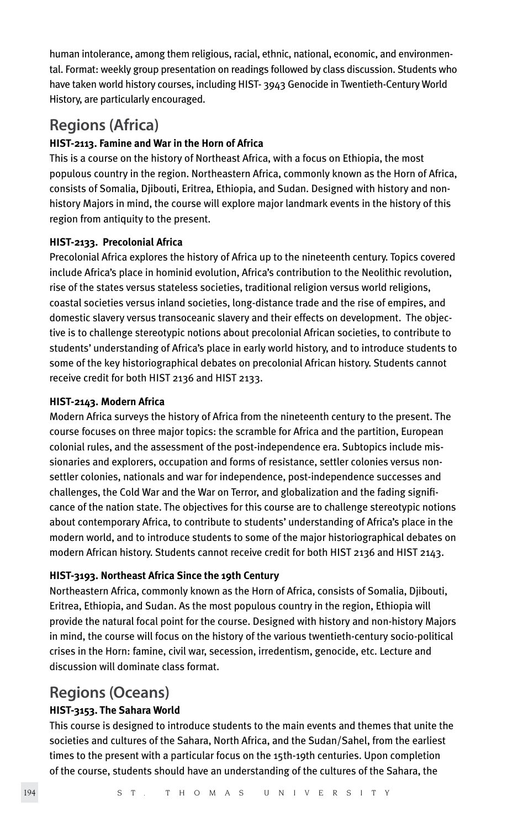human intolerance, among them religious, racial, ethnic, national, economic, and environmental. Format: weekly group presentation on readings followed by class discussion. Students who have taken world history courses, including HIST- 3943 Genocide in Twentieth-Century World History, are particularly encouraged.

### **Regions (Africa)**

#### **HIST-2113. Famine and War in the Horn of Africa**

This is a course on the history of Northeast Africa, with a focus on Ethiopia, the most populous country in the region. Northeastern Africa, commonly known as the Horn of Africa, consists of Somalia, Djibouti, Eritrea, Ethiopia, and Sudan. Designed with history and nonhistory Majors in mind, the course will explore major landmark events in the history of this region from antiquity to the present.

#### **HIST-2133. Precolonial Africa**

Precolonial Africa explores the history of Africa up to the nineteenth century. Topics covered include Africa's place in hominid evolution, Africa's contribution to the Neolithic revolution, rise of the states versus stateless societies, traditional religion versus world religions, coastal societies versus inland societies, long-distance trade and the rise of empires, and domestic slavery versus transoceanic slavery and their effects on development. The objective is to challenge stereotypic notions about precolonial African societies, to contribute to students' understanding of Africa's place in early world history, and to introduce students to some of the key historiographical debates on precolonial African history. Students cannot receive credit for both HIST 2136 and HIST 2133.

#### **HIST-2143. Modern Africa**

Modern Africa surveys the history of Africa from the nineteenth century to the present. The course focuses on three major topics: the scramble for Africa and the partition, European colonial rules, and the assessment of the post-independence era. Subtopics include missionaries and explorers, occupation and forms of resistance, settler colonies versus nonsettler colonies, nationals and war for independence, post-independence successes and challenges, the Cold War and the War on Terror, and globalization and the fading significance of the nation state. The objectives for this course are to challenge stereotypic notions about contemporary Africa, to contribute to students' understanding of Africa's place in the modern world, and to introduce students to some of the major historiographical debates on modern African history. Students cannot receive credit for both HIST 2136 and HIST 2143.

#### **HIST-3193. Northeast Africa Since the 19th Century**

Northeastern Africa, commonly known as the Horn of Africa, consists of Somalia, Djibouti, Eritrea, Ethiopia, and Sudan. As the most populous country in the region, Ethiopia will provide the natural focal point for the course. Designed with history and non-history Majors in mind, the course will focus on the history of the various twentieth-century socio-political crises in the Horn: famine, civil war, secession, irredentism, genocide, etc. Lecture and discussion will dominate class format.

### **Regions (Oceans)**

#### **HIST-3153. The Sahara World**

This course is designed to introduce students to the main events and themes that unite the societies and cultures of the Sahara, North Africa, and the Sudan/Sahel, from the earliest times to the present with a particular focus on the 15th-19th centuries. Upon completion of the course, students should have an understanding of the cultures of the Sahara, the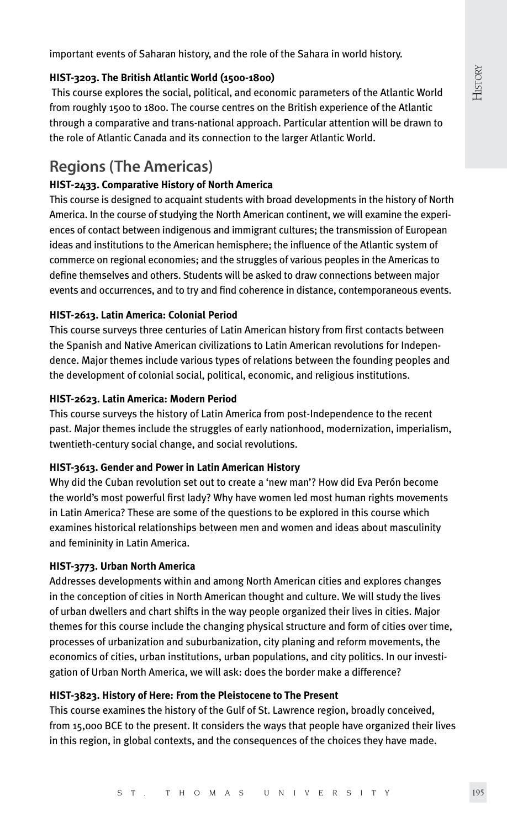important events of Saharan history, and the role of the Sahara in world history.

#### **HIST-3203. The British Atlantic World (1500-1800)**

 This course explores the social, political, and economic parameters of the Atlantic World from roughly 1500 to 1800. The course centres on the British experience of the Atlantic through a comparative and trans-national approach. Particular attention will be drawn to the role of Atlantic Canada and its connection to the larger Atlantic World.

### **Regions (The Americas)**

#### **HIST-2433. Comparative History of North America**

This course is designed to acquaint students with broad developments in the history of North America. In the course of studying the North American continent, we will examine the experiences of contact between indigenous and immigrant cultures; the transmission of European ideas and institutions to the American hemisphere; the influence of the Atlantic system of commerce on regional economies; and the struggles of various peoples in the Americas to define themselves and others. Students will be asked to draw connections between major events and occurrences, and to try and find coherence in distance, contemporaneous events.

#### **HIST-2613. Latin America: Colonial Period**

This course surveys three centuries of Latin American history from first contacts between the Spanish and Native American civilizations to Latin American revolutions for Independence. Major themes include various types of relations between the founding peoples and the development of colonial social, political, economic, and religious institutions.

#### **HIST-2623. Latin America: Modern Period**

This course surveys the history of Latin America from post-Independence to the recent past. Major themes include the struggles of early nationhood, modernization, imperialism, twentieth-century social change, and social revolutions.

#### **HIST-3613. Gender and Power in Latin American History**

Why did the Cuban revolution set out to create a 'new man'? How did Eva Perón become the world's most powerful first lady? Why have women led most human rights movements in Latin America? These are some of the questions to be explored in this course which examines historical relationships between men and women and ideas about masculinity and femininity in Latin America.

#### **HIST-3773. Urban North America**

Addresses developments within and among North American cities and explores changes in the conception of cities in North American thought and culture. We will study the lives of urban dwellers and chart shifts in the way people organized their lives in cities. Major themes for this course include the changing physical structure and form of cities over time, processes of urbanization and suburbanization, city planing and reform movements, the economics of cities, urban institutions, urban populations, and city politics. In our investigation of Urban North America, we will ask: does the border make a difference?

#### **HIST-3823. History of Here: From the Pleistocene to The Present**

This course examines the history of the Gulf of St. Lawrence region, broadly conceived, from 15,000 BCE to the present. It considers the ways that people have organized their lives in this region, in global contexts, and the consequences of the choices they have made.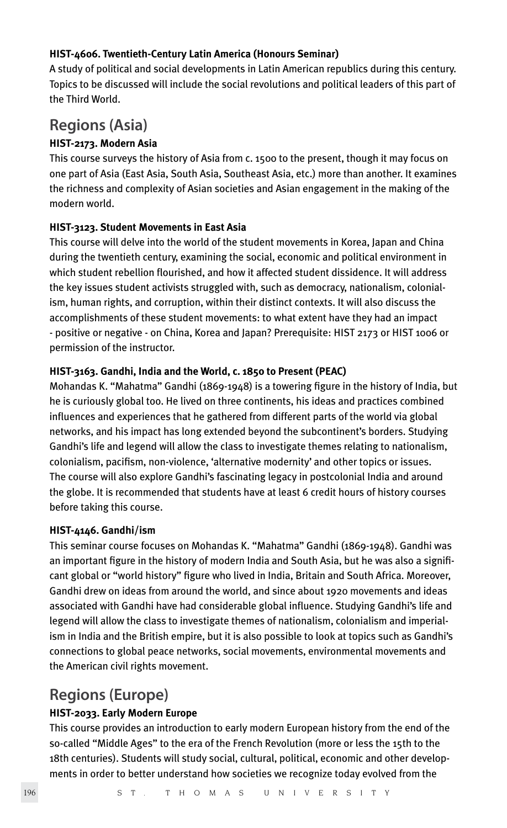#### **HIST-4606. Twentieth-Century Latin America (Honours Seminar)**

A study of political and social developments in Latin American republics during this century. Topics to be discussed will include the social revolutions and political leaders of this part of the Third World.

### **Regions (Asia)**

#### **HIST-2173. Modern Asia**

This course surveys the history of Asia from c. 1500 to the present, though it may focus on one part of Asia (East Asia, South Asia, Southeast Asia, etc.) more than another. It examines the richness and complexity of Asian societies and Asian engagement in the making of the modern world.

#### **HIST-3123. Student Movements in East Asia**

This course will delve into the world of the student movements in Korea, Japan and China during the twentieth century, examining the social, economic and political environment in which student rebellion flourished, and how it affected student dissidence. It will address the key issues student activists struggled with, such as democracy, nationalism, colonialism, human rights, and corruption, within their distinct contexts. It will also discuss the accomplishments of these student movements: to what extent have they had an impact - positive or negative - on China, Korea and Japan? Prerequisite: HIST 2173 or HIST 1006 or permission of the instructor.

#### **HIST-3163. Gandhi, India and the World, c. 1850 to Present (PEAC)**

Mohandas K. "Mahatma" Gandhi (1869-1948) is a towering figure in the history of India, but he is curiously global too. He lived on three continents, his ideas and practices combined influences and experiences that he gathered from different parts of the world via global networks, and his impact has long extended beyond the subcontinent's borders. Studying Gandhi's life and legend will allow the class to investigate themes relating to nationalism, colonialism, pacifism, non-violence, 'alternative modernity' and other topics or issues. The course will also explore Gandhi's fascinating legacy in postcolonial India and around the globe. It is recommended that students have at least 6 credit hours of history courses before taking this course.

#### **HIST-4146. Gandhi/ism**

This seminar course focuses on Mohandas K. "Mahatma" Gandhi (1869-1948). Gandhi was an important figure in the history of modern India and South Asia, but he was also a significant global or "world history" figure who lived in India, Britain and South Africa. Moreover, Gandhi drew on ideas from around the world, and since about 1920 movements and ideas associated with Gandhi have had considerable global influence. Studying Gandhi's life and legend will allow the class to investigate themes of nationalism, colonialism and imperialism in India and the British empire, but it is also possible to look at topics such as Gandhi's connections to global peace networks, social movements, environmental movements and the American civil rights movement.

### **Regions (Europe)**

#### **HIST-2033. Early Modern Europe**

This course provides an introduction to early modern European history from the end of the so-called "Middle Ages" to the era of the French Revolution (more or less the 15th to the 18th centuries). Students will study social, cultural, political, economic and other developments in order to better understand how societies we recognize today evolved from the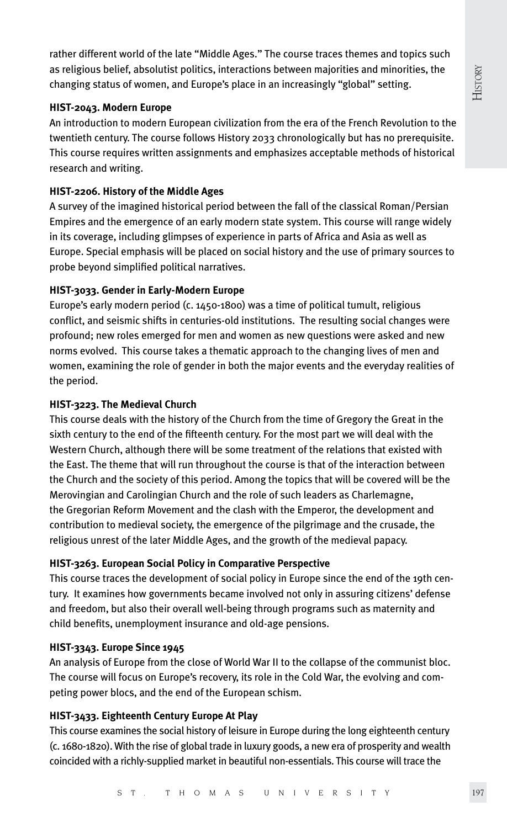rather different world of the late "Middle Ages." The course traces themes and topics such as religious belief, absolutist politics, interactions between majorities and minorities, the changing status of women, and Europe's place in an increasingly "global" setting.

#### **HIST-2043. Modern Europe**

An introduction to modern European civilization from the era of the French Revolution to the twentieth century. The course follows History 2033 chronologically but has no prerequisite. This course requires written assignments and emphasizes acceptable methods of historical research and writing.

#### **HIST-2206. History of the Middle Ages**

A survey of the imagined historical period between the fall of the classical Roman/Persian Empires and the emergence of an early modern state system. This course will range widely in its coverage, including glimpses of experience in parts of Africa and Asia as well as Europe. Special emphasis will be placed on social history and the use of primary sources to probe beyond simplified political narratives.

#### **HIST-3033. Gender in Early-Modern Europe**

Europe's early modern period (c. 1450-1800) was a time of political tumult, religious conflict, and seismic shifts in centuries-old institutions. The resulting social changes were profound; new roles emerged for men and women as new questions were asked and new norms evolved. This course takes a thematic approach to the changing lives of men and women, examining the role of gender in both the major events and the everyday realities of the period.

#### **HIST-3223. The Medieval Church**

This course deals with the history of the Church from the time of Gregory the Great in the sixth century to the end of the fifteenth century. For the most part we will deal with the Western Church, although there will be some treatment of the relations that existed with the East. The theme that will run throughout the course is that of the interaction between the Church and the society of this period. Among the topics that will be covered will be the Merovingian and Carolingian Church and the role of such leaders as Charlemagne, the Gregorian Reform Movement and the clash with the Emperor, the development and contribution to medieval society, the emergence of the pilgrimage and the crusade, the religious unrest of the later Middle Ages, and the growth of the medieval papacy.

#### **HIST-3263. European Social Policy in Comparative Perspective**

This course traces the development of social policy in Europe since the end of the 19th century. It examines how governments became involved not only in assuring citizens' defense and freedom, but also their overall well-being through programs such as maternity and child benefits, unemployment insurance and old-age pensions.

#### **HIST-3343. Europe Since 1945**

An analysis of Europe from the close of World War II to the collapse of the communist bloc. The course will focus on Europe's recovery, its role in the Cold War, the evolving and competing power blocs, and the end of the European schism.

#### **HIST-3433. Eighteenth Century Europe At Play**

This course examines the social history of leisure in Europe during the long eighteenth century (c. 1680-1820). With the rise of global trade in luxury goods, a new era of prosperity and wealth coincided with a richly-supplied market in beautiful non-essentials. This course will trace the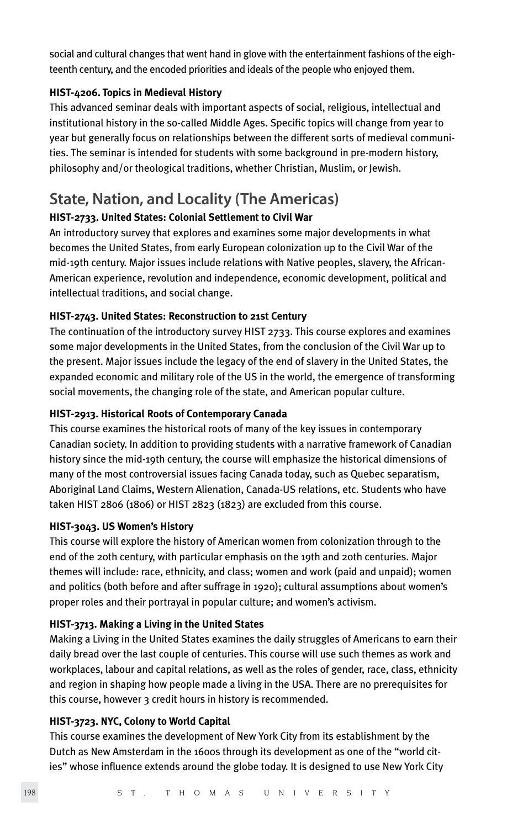social and cultural changes that went hand in glove with the entertainment fashions of the eighteenth century, and the encoded priorities and ideals of the people who enjoyed them.

#### **HIST-4206. Topics in Medieval History**

This advanced seminar deals with important aspects of social, religious, intellectual and institutional history in the so-called Middle Ages. Specific topics will change from year to year but generally focus on relationships between the different sorts of medieval communities. The seminar is intended for students with some background in pre-modern history, philosophy and/or theological traditions, whether Christian, Muslim, or Jewish.

### **State, Nation, and Locality (The Americas)**

#### **HIST-2733. United States: Colonial Settlement to Civil War**

An introductory survey that explores and examines some major developments in what becomes the United States, from early European colonization up to the Civil War of the mid-19th century. Major issues include relations with Native peoples, slavery, the African-American experience, revolution and independence, economic development, political and intellectual traditions, and social change.

#### **HIST-2743. United States: Reconstruction to 21st Century**

The continuation of the introductory survey HIST 2733. This course explores and examines some major developments in the United States, from the conclusion of the Civil War up to the present. Major issues include the legacy of the end of slavery in the United States, the expanded economic and military role of the US in the world, the emergence of transforming social movements, the changing role of the state, and American popular culture.

#### **HIST-2913. Historical Roots of Contemporary Canada**

This course examines the historical roots of many of the key issues in contemporary Canadian society. In addition to providing students with a narrative framework of Canadian history since the mid-19th century, the course will emphasize the historical dimensions of many of the most controversial issues facing Canada today, such as Quebec separatism, Aboriginal Land Claims, Western Alienation, Canada-US relations, etc. Students who have taken HIST 2806 (1806) or HIST 2823 (1823) are excluded from this course.

#### **HIST-3043. US Women's History**

This course will explore the history of American women from colonization through to the end of the 20th century, with particular emphasis on the 19th and 20th centuries. Major themes will include: race, ethnicity, and class; women and work (paid and unpaid); women and politics (both before and after suffrage in 1920); cultural assumptions about women's proper roles and their portrayal in popular culture; and women's activism.

#### **HIST-3713. Making a Living in the United States**

Making a Living in the United States examines the daily struggles of Americans to earn their daily bread over the last couple of centuries. This course will use such themes as work and workplaces, labour and capital relations, as well as the roles of gender, race, class, ethnicity and region in shaping how people made a living in the USA. There are no prerequisites for this course, however 3 credit hours in history is recommended.

#### **HIST-3723. NYC, Colony to World Capital**

This course examines the development of New York City from its establishment by the Dutch as New Amsterdam in the 1600s through its development as one of the "world cities" whose influence extends around the globe today. It is designed to use New York City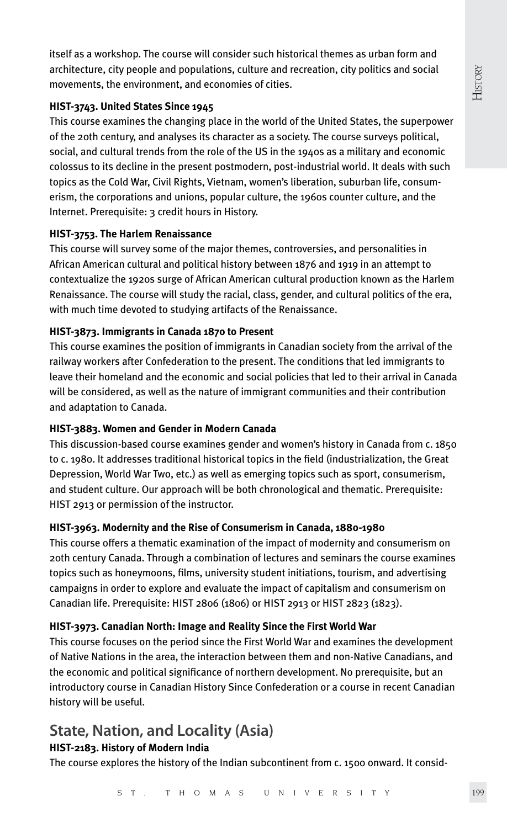itself as a workshop. The course will consider such historical themes as urban form and architecture, city people and populations, culture and recreation, city politics and social movements, the environment, and economies of cities.

#### **HIST-3743. United States Since 1945**

This course examines the changing place in the world of the United States, the superpower of the 20th century, and analyses its character as a society. The course surveys political, social, and cultural trends from the role of the US in the 1940s as a military and economic colossus to its decline in the present postmodern, post-industrial world. It deals with such topics as the Cold War, Civil Rights, Vietnam, women's liberation, suburban life, consumerism, the corporations and unions, popular culture, the 1960s counter culture, and the Internet. Prerequisite: 3 credit hours in History.

#### **HIST-3753. The Harlem Renaissance**

This course will survey some of the major themes, controversies, and personalities in African American cultural and political history between 1876 and 1919 in an attempt to contextualize the 1920s surge of African American cultural production known as the Harlem Renaissance. The course will study the racial, class, gender, and cultural politics of the era, with much time devoted to studying artifacts of the Renaissance.

#### **HIST-3873. Immigrants in Canada 1870 to Present**

This course examines the position of immigrants in Canadian society from the arrival of the railway workers after Confederation to the present. The conditions that led immigrants to leave their homeland and the economic and social policies that led to their arrival in Canada will be considered, as well as the nature of immigrant communities and their contribution and adaptation to Canada.

#### **HIST-3883. Women and Gender in Modern Canada**

This discussion-based course examines gender and women's history in Canada from c. 1850 to c. 1980. It addresses traditional historical topics in the field (industrialization, the Great Depression, World War Two, etc.) as well as emerging topics such as sport, consumerism, and student culture. Our approach will be both chronological and thematic. Prerequisite: HIST 2913 or permission of the instructor.

#### **HIST-3963. Modernity and the Rise of Consumerism in Canada, 1880-1980**

This course offers a thematic examination of the impact of modernity and consumerism on 20th century Canada. Through a combination of lectures and seminars the course examines topics such as honeymoons, films, university student initiations, tourism, and advertising campaigns in order to explore and evaluate the impact of capitalism and consumerism on Canadian life. Prerequisite: HIST 2806 (1806) or HIST 2913 or HIST 2823 (1823).

#### **HIST-3973. Canadian North: Image and Reality Since the First World War**

This course focuses on the period since the First World War and examines the development of Native Nations in the area, the interaction between them and non-Native Canadians, and the economic and political significance of northern development. No prerequisite, but an introductory course in Canadian History Since Confederation or a course in recent Canadian history will be useful.

### **State, Nation, and Locality (Asia)**

#### **HIST-2183. History of Modern India**

The course explores the history of the Indian subcontinent from c. 1500 onward. It consid-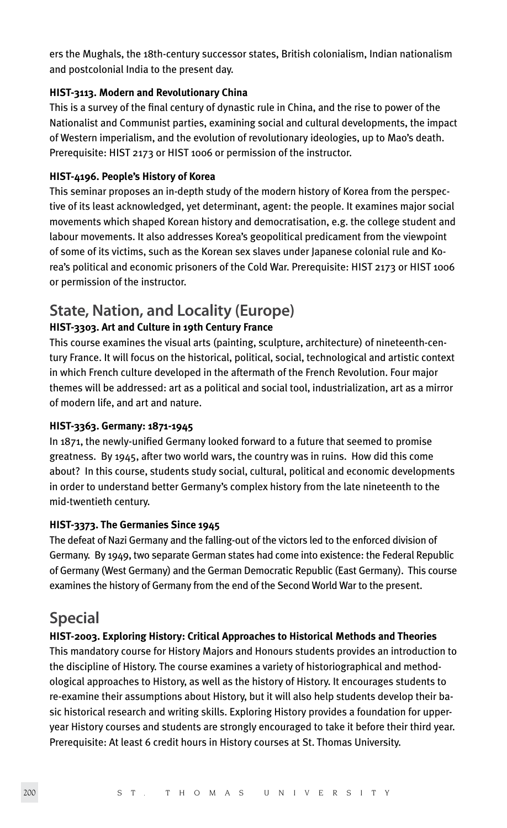ers the Mughals, the 18th-century successor states, British colonialism, Indian nationalism and postcolonial India to the present day.

#### **HIST-3113. Modern and Revolutionary China**

This is a survey of the final century of dynastic rule in China, and the rise to power of the Nationalist and Communist parties, examining social and cultural developments, the impact of Western imperialism, and the evolution of revolutionary ideologies, up to Mao's death. Prerequisite: HIST 2173 or HIST 1006 or permission of the instructor.

#### **HIST-4196. People's History of Korea**

This seminar proposes an in-depth study of the modern history of Korea from the perspective of its least acknowledged, yet determinant, agent: the people. It examines major social movements which shaped Korean history and democratisation, e.g. the college student and labour movements. It also addresses Korea's geopolitical predicament from the viewpoint of some of its victims, such as the Korean sex slaves under Japanese colonial rule and Korea's political and economic prisoners of the Cold War. Prerequisite: HIST 2173 or HIST 1006 or permission of the instructor.

### **State, Nation, and Locality (Europe)**

#### **HIST-3303. Art and Culture in 19th Century France**

This course examines the visual arts (painting, sculpture, architecture) of nineteenth-century France. It will focus on the historical, political, social, technological and artistic context in which French culture developed in the aftermath of the French Revolution. Four major themes will be addressed: art as a political and social tool, industrialization, art as a mirror of modern life, and art and nature.

#### **HIST-3363. Germany: 1871-1945**

In 1871, the newly-unified Germany looked forward to a future that seemed to promise greatness. By 1945, after two world wars, the country was in ruins. How did this come about? In this course, students study social, cultural, political and economic developments in order to understand better Germany's complex history from the late nineteenth to the mid-twentieth century.

#### **HIST-3373. The Germanies Since 1945**

The defeat of Nazi Germany and the falling-out of the victors led to the enforced division of Germany. By 1949, two separate German states had come into existence: the Federal Republic of Germany (West Germany) and the German Democratic Republic (East Germany). This course examines the history of Germany from the end of the Second World War to the present.

### **Special**

#### **HIST-2003. Exploring History: Critical Approaches to Historical Methods and Theories**

This mandatory course for History Majors and Honours students provides an introduction to the discipline of History. The course examines a variety of historiographical and methodological approaches to History, as well as the history of History. It encourages students to re-examine their assumptions about History, but it will also help students develop their basic historical research and writing skills. Exploring History provides a foundation for upperyear History courses and students are strongly encouraged to take it before their third year. Prerequisite: At least 6 credit hours in History courses at St. Thomas University.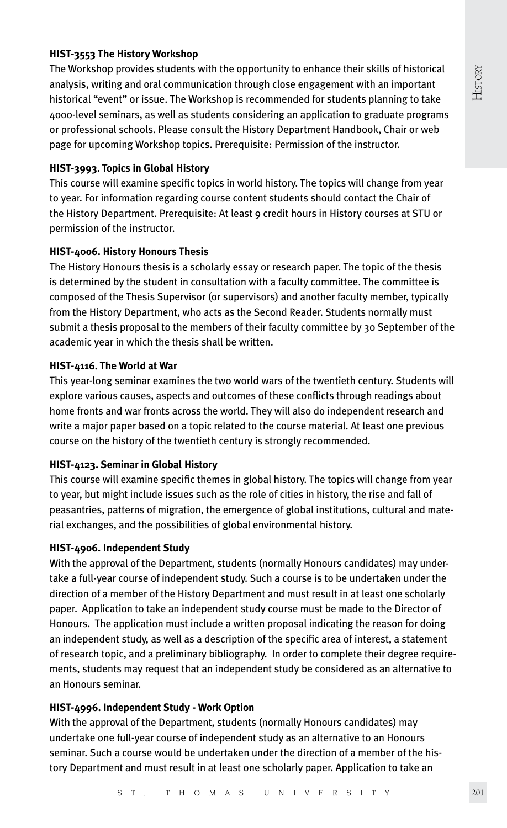#### **HIST-3553 The History Workshop**

The Workshop provides students with the opportunity to enhance their skills of historical analysis, writing and oral communication through close engagement with an important historical "event" or issue. The Workshop is recommended for students planning to take 4000-level seminars, as well as students considering an application to graduate programs or professional schools. Please consult the History Department Handbook, Chair or web page for upcoming Workshop topics. Prerequisite: Permission of the instructor.

#### **HIST-3993. Topics in Global History**

This course will examine specific topics in world history. The topics will change from year to year. For information regarding course content students should contact the Chair of the History Department. Prerequisite: At least 9 credit hours in History courses at STU or permission of the instructor.

#### **HIST-4006. History Honours Thesis**

The History Honours thesis is a scholarly essay or research paper. The topic of the thesis is determined by the student in consultation with a faculty committee. The committee is composed of the Thesis Supervisor (or supervisors) and another faculty member, typically from the History Department, who acts as the Second Reader. Students normally must submit a thesis proposal to the members of their faculty committee by 30 September of the academic year in which the thesis shall be written.

#### **HIST-4116. The World at War**

This year-long seminar examines the two world wars of the twentieth century. Students will explore various causes, aspects and outcomes of these conflicts through readings about home fronts and war fronts across the world. They will also do independent research and write a major paper based on a topic related to the course material. At least one previous course on the history of the twentieth century is strongly recommended.

#### **HIST-4123. Seminar in Global History**

This course will examine specific themes in global history. The topics will change from year to year, but might include issues such as the role of cities in history, the rise and fall of peasantries, patterns of migration, the emergence of global institutions, cultural and material exchanges, and the possibilities of global environmental history.

#### **HIST-4906. Independent Study**

With the approval of the Department, students (normally Honours candidates) may undertake a full-year course of independent study. Such a course is to be undertaken under the direction of a member of the History Department and must result in at least one scholarly paper. Application to take an independent study course must be made to the Director of Honours. The application must include a written proposal indicating the reason for doing an independent study, as well as a description of the specific area of interest, a statement of research topic, and a preliminary bibliography. In order to complete their degree requirements, students may request that an independent study be considered as an alternative to an Honours seminar.

#### **HIST-4996. Independent Study - Work Option**

With the approval of the Department, students (normally Honours candidates) may undertake one full-year course of independent study as an alternative to an Honours seminar. Such a course would be undertaken under the direction of a member of the history Department and must result in at least one scholarly paper. Application to take an